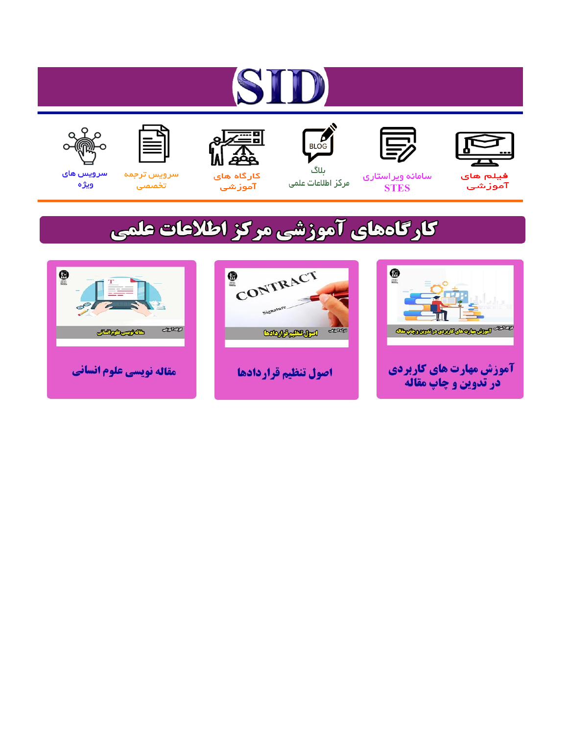# ST











ىلاگ



مرکز اطلاعات علمی

 $\frac{1}{\sqrt{\frac{1}{100}}}$ 

Cologie Legislation

کارگاه های آموزشي

空

ققق

 $\begin{matrix} \textcircled{\footnotesize{A}}\\ \textcircled{\footnotesize{B}} \end{matrix}$ 

سرويس ترجمه تخصصى



سرویس های ويژه

كارگاههای آموزشی مركز اطلاعات علمی

CONTRACT

اصول تنظيم قراردادها



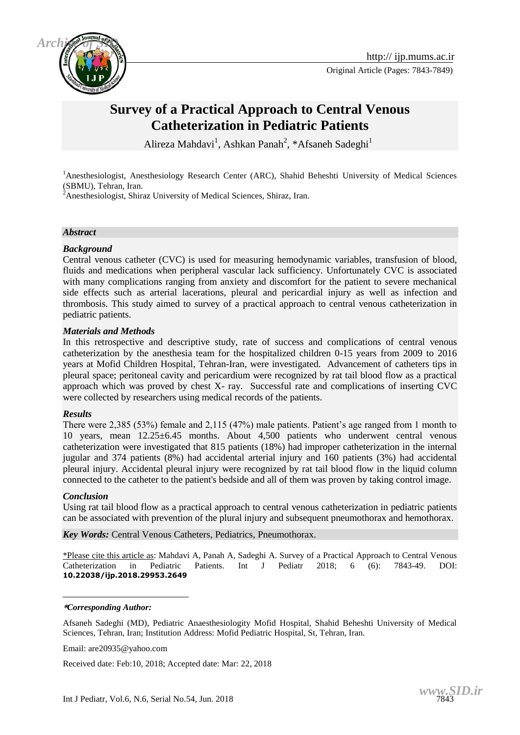



Original Article (Pages: 7843-7849)

## **Survey of a Practical Approach to Central Venous Catheterization in Pediatric Patients**

Alireza Mahdavi<sup>1</sup>, Ashkan Panah<sup>2</sup>, \*Afsaneh Sadeghi<sup>1</sup>

<sup>1</sup>Anesthesiologist, Anesthesiology Research Center (ARC), Shahid Beheshti University of Medical Sciences (SBMU), Tehran, Iran.

 $2^2$ Anesthesiologist, Shiraz University of Medical Sciences, Shiraz, Iran.

#### *Abstract*

#### *Background*

Central venous catheter (CVC) is used for measuring hemodynamic variables, transfusion of blood, fluids and medications when peripheral vascular lack sufficiency. Unfortunately CVC is associated with many complications ranging from anxiety and discomfort for the patient to severe mechanical side effects such as arterial lacerations, pleural and pericardial injury as well as infection and thrombosis. This study aimed to survey of a practical approach to central venous catheterization in pediatric patients.

#### *Materials and Methods*

In this retrospective and descriptive study, rate of success and complications of central venous catheterization by the anesthesia team for the hospitalized children 0-15 years from 2009 to 2016 years at Mofid Children Hospital, Tehran-Iran, were investigated. Advancement of catheters tips in pleural space; peritoneal cavity and pericardium were recognized by rat tail blood flow as a practical approach which was proved by chest X- ray. Successful rate and complications of inserting CVC were collected by researchers using medical records of the patients.

#### *Results*

There were 2,385 (53%) female and 2,115 (47%) male patients. Patient's age ranged from 1 month to 10 years, mean 12.25±6.45 months. About 4,500 patients who underwent central venous catheterization were investigated that 815 patients (18%) had improper catheterization in the internal jugular and 374 patients (8%) had accidental arterial injury and 160 patients (3%) had accidental pleural injury. Accidental pleural injury were recognized by rat tail blood flow in the liquid column connected to the catheter to the patient's bedside and all of them was proven by taking control image.

#### *Conclusion*

1

Using rat tail blood flow as a practical approach to central venous catheterization in pediatric patients can be associated with prevention of the plural injury and subsequent pneumothorax and hemothorax.

*Key Words:* [Central Venous Catheters,](https://www.ncbi.nlm.nih.gov/mesh/68062905) Pediatrics, Pneumothorax.

\*Please cite this article as: Mahdavi A, Panah A, Sadeghi A. Survey of a Practical Approach to Central Venous Catheterization in Pediatric Patients. Int J Pediatr 2018; 6 (6): 7843-49. DOI: **10.22038/ijp.2018.29953.2649**

**\****Corresponding Author:*

Afsaneh Sadeghi (MD), Pediatric Anaesthesiologity Mofid Hospital, Shahid Beheshti University of Medical Sciences, Tehran, Iran; Institution Address: Mofid Pediatric Hospital, St, Tehran, Iran.

Email: are20935@yahoo.com

Received date: Feb:10, 2018; Accepted date: Mar: 22, 2018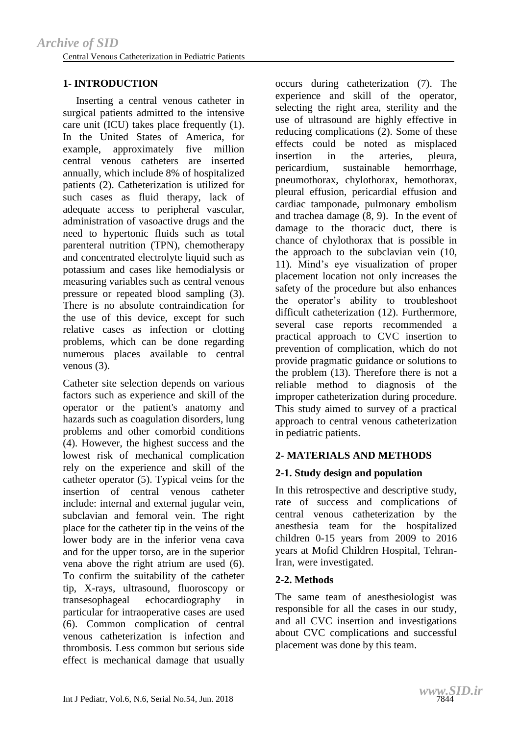## **1- INTRODUCTION**

 Inserting a central venous catheter in surgical patients admitted to the intensive care unit (ICU) takes place frequently (1). In the United States of America, for example, approximately five million central venous catheters are inserted annually, which include 8% of hospitalized patients (2). Catheterization is utilized for such cases as fluid therapy, lack of adequate access to peripheral vascular, administration of vasoactive drugs and the need to hypertonic fluids such as total parenteral nutrition (TPN), chemotherapy and concentrated electrolyte liquid such as potassium and cases like hemodialysis or measuring variables such as central venous pressure or repeated blood sampling (3). There is no absolute contraindication for the use of this device, except for such relative cases as infection or clotting problems, which can be done regarding numerous places available to central venous (3).

Catheter site selection depends on various factors such as experience and skill of the operator or the patient's anatomy and hazards such as coagulation disorders, lung problems and other comorbid conditions (4). However, the highest success and the lowest risk of mechanical complication rely on the experience and skill of the catheter operator (5). Typical veins for the insertion of central venous catheter include: internal and external jugular vein, subclavian and femoral vein. The right place for the catheter tip in the veins of the lower body are in the inferior vena cava and for the upper torso, are in the superior vena above the right atrium are used (6). To confirm the suitability of the catheter tip, X-rays, ultrasound, fluoroscopy or transesophageal echocardiography in particular for intraoperative cases are used (6). Common complication of central venous catheterization is infection and thrombosis. Less common but serious side effect is mechanical damage that usually

occurs during catheterization (7). The experience and skill of the operator, selecting the right area, sterility and the use of ultrasound are highly effective in reducing complications (2). Some of these effects could be noted as misplaced insertion in the arteries, pleura, pericardium, sustainable hemorrhage, pneumothorax, chylothorax, hemothorax, pleural effusion, pericardial effusion and cardiac tamponade, pulmonary embolism and trachea damage (8, 9). In the event of damage to the thoracic duct, there is chance of chylothorax that is possible in the approach to the subclavian vein (10, 11). Mind's eye visualization of proper placement location not only increases the safety of the procedure but also enhances the operator's ability to troubleshoot difficult catheterization (12). Furthermore, several case reports recommended a practical approach to CVC insertion to prevention of complication, which do not provide pragmatic guidance or solutions to the problem (13). Therefore there is not a reliable method to diagnosis of the improper catheterization during procedure. This study aimed to survey of a practical approach to central venous catheterization in pediatric patients.

## **2- MATERIALS AND METHODS**

## **2-1. Study design and population**

In this retrospective and descriptive study, rate of success and complications of central venous catheterization by the anesthesia team for the hospitalized children 0-15 years from 2009 to 2016 years at Mofid Children Hospital, Tehran-Iran, were investigated.

## **2-2. Methods**

The same team of anesthesiologist was responsible for all the cases in our study, and all CVC insertion and investigations about CVC complications and successful placement was done by this team.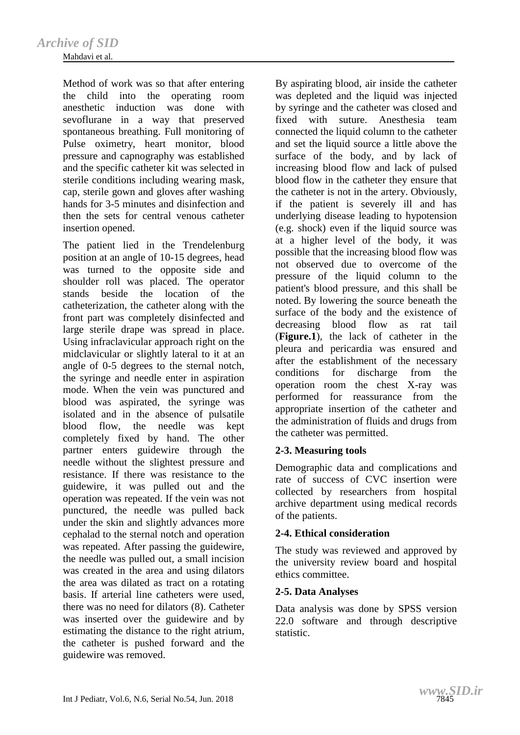Method of work was so that after entering the child into the operating room anesthetic induction was done with sevoflurane in a way that preserved spontaneous breathing. Full monitoring of Pulse oximetry, heart monitor, blood pressure and capnography was established and the specific catheter kit was selected in sterile conditions including wearing mask, cap, sterile gown and gloves after washing hands for 3-5 minutes and disinfection and then the sets for central venous catheter insertion opened.

The patient lied in the Trendelenburg position at an angle of 10-15 degrees, head was turned to the opposite side and shoulder roll was placed. The operator stands beside the location of the catheterization, the catheter along with the front part was completely disinfected and large sterile drape was spread in place. Using infraclavicular approach right on the midclavicular or slightly lateral to it at an angle of 0-5 degrees to the sternal notch, the syringe and needle enter in aspiration mode. When the vein was punctured and blood was aspirated, the syringe was isolated and in the absence of pulsatile blood flow, the needle was kept completely fixed by hand. The other partner enters guidewire through the needle without the slightest pressure and resistance. If there was resistance to the guidewire, it was pulled out and the operation was repeated. If the vein was not punctured, the needle was pulled back under the skin and slightly advances more cephalad to the sternal notch and operation was repeated. After passing the guidewire, the needle was pulled out, a small incision was created in the area and using dilators the area was dilated as tract on a rotating basis. If arterial line catheters were used, there was no need for dilators (8). Catheter was inserted over the guidewire and by estimating the distance to the right atrium, the catheter is pushed forward and the guidewire was removed.

By aspirating blood, air inside the catheter was depleted and the liquid was injected by syringe and the catheter was closed and fixed with suture. Anesthesia team connected the liquid column to the catheter and set the liquid source a little above the surface of the body, and by lack of increasing blood flow and lack of pulsed blood flow in the catheter they ensure that the catheter is not in the artery. Obviously, if the patient is severely ill and has underlying disease leading to hypotension (e.g. shock) even if the liquid source was at a higher level of the body, it was possible that the increasing blood flow was not observed due to overcome of the pressure of the liquid column to the patient's blood pressure, and this shall be noted. By lowering the source beneath the surface of the body and the existence of decreasing blood flow as rat tail (**Figure.1**), the lack of catheter in the pleura and pericardia was ensured and after the establishment of the necessary conditions for discharge from the operation room the chest X-ray was performed for reassurance from the appropriate insertion of the catheter and the administration of fluids and drugs from the catheter was permitted.

#### **2-3. Measuring tools**

Demographic data and complications and rate of success of CVC insertion were collected by researchers from hospital archive department using medical records of the patients.

## **2-4. Ethical consideration**

The study was reviewed and approved by the university review board and hospital ethics committee.

#### **2-5. Data Analyses**

Data analysis was done by SPSS version 22.0 software and through descriptive statistic.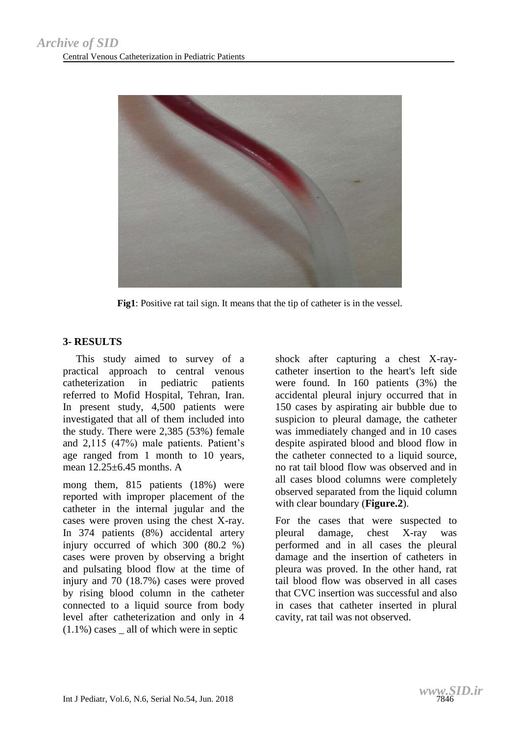

**Fig1**: Positive rat tail sign. It means that the tip of catheter is in the vessel.

#### **3- RESULTS**

 This study aimed to survey of a practical approach to central venous catheterization in pediatric patients referred to Mofid Hospital, Tehran, Iran. In present study, 4,500 patients were investigated that all of them included into the study. There were 2,385 (53%) female and 2,115 (47%) male patients. Patient's age ranged from 1 month to 10 years, mean 12.25+6.45 months. A

mong them, 815 patients (18%) were reported with improper placement of the catheter in the internal jugular and the cases were proven using the chest X-ray. In 374 patients (8%) accidental artery injury occurred of which 300 (80.2 %) cases were proven by observing a bright and pulsating blood flow at the time of injury and 70 (18.7%) cases were proved by rising blood column in the catheter connected to a liquid source from body level after catheterization and only in 4  $(1.1\%)$  cases all of which were in septic

shock after capturing a chest X-raycatheter insertion to the heart's left side were found. In 160 patients (3%) the accidental pleural injury occurred that in 150 cases by aspirating air bubble due to suspicion to pleural damage, the catheter was immediately changed and in 10 cases despite aspirated blood and blood flow in the catheter connected to a liquid source, no rat tail blood flow was observed and in all cases blood columns were completely observed separated from the liquid column with clear boundary (**Figure.2**).

For the cases that were suspected to pleural damage, chest X-ray was performed and in all cases the pleural damage and the insertion of catheters in pleura was proved. In the other hand, rat tail blood flow was observed in all cases that CVC insertion was successful and also in cases that catheter inserted in plural cavity, rat tail was not observed.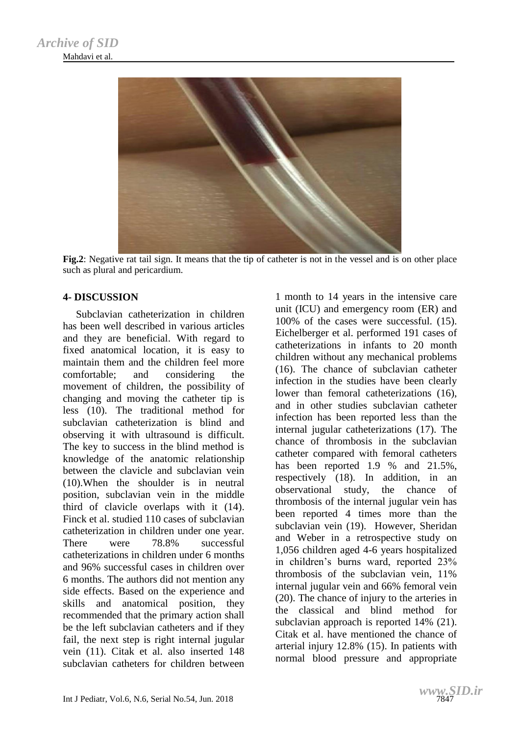

**Fig.2**: Negative rat tail sign. It means that the tip of catheter is not in the vessel and is on other place such as plural and pericardium.

#### **4- DISCUSSION**

 Subclavian catheterization in children has been well described in various articles and they are beneficial. With regard to fixed anatomical location, it is easy to maintain them and the children feel more comfortable; and considering the movement of children, the possibility of changing and moving the catheter tip is less (10). The traditional method for subclavian catheterization is blind and observing it with ultrasound is difficult. The key to success in the blind method is knowledge of the anatomic relationship between the clavicle and subclavian vein (10).When the shoulder is in neutral position, subclavian vein in the middle third of clavicle overlaps with it (14). Finck et al. studied 110 cases of subclavian catheterization in children under one year. There were 78.8% successful catheterizations in children under 6 months and 96% successful cases in children over 6 months. The authors did not mention any side effects. Based on the experience and skills and anatomical position, they recommended that the primary action shall be the left subclavian catheters and if they fail, the next step is right internal jugular vein (11). Citak et al. also inserted 148 subclavian catheters for children between 1 month to 14 years in the intensive care unit (ICU) and emergency room (ER) and 100% of the cases were successful. (15). Eichelberger et al. performed 191 cases of catheterizations in infants to 20 month children without any mechanical problems (16). The chance of subclavian catheter infection in the studies have been clearly lower than femoral catheterizations (16), and in other studies subclavian catheter infection has been reported less than the internal jugular catheterizations (17). The chance of thrombosis in the subclavian catheter compared with femoral catheters has been reported 1.9 % and 21.5%, respectively (18). In addition, in an observational study, the chance of thrombosis of the internal jugular vein has been reported 4 times more than the subclavian vein (19). However, Sheridan and Weber in a retrospective study on 1,056 children aged 4-6 years hospitalized in children's burns ward, reported 23% thrombosis of the subclavian vein, 11% internal jugular vein and 66% femoral vein (20). The chance of injury to the arteries in the classical and blind method for subclavian approach is reported 14% (21). Citak et al. have mentioned the chance of arterial injury 12.8% (15). In patients with normal blood pressure and appropriate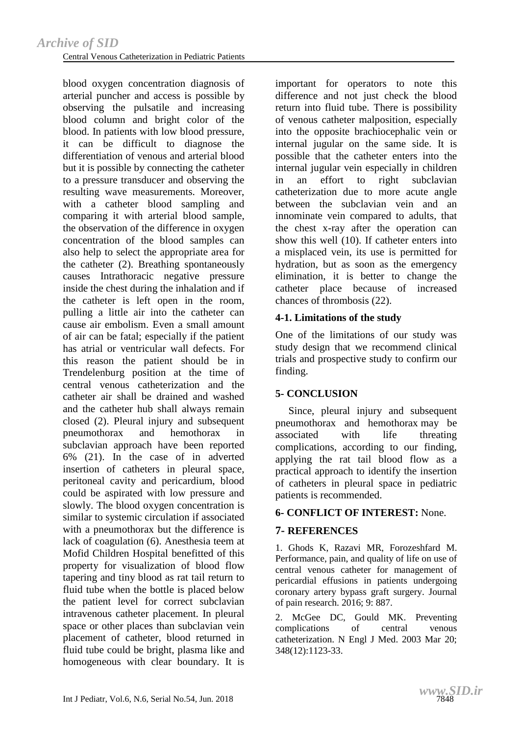blood oxygen concentration diagnosis of arterial puncher and access is possible by observing the pulsatile and increasing blood column and bright color of the blood. In patients with low blood pressure, it can be difficult to diagnose the differentiation of venous and arterial blood but it is possible by connecting the catheter to a pressure transducer and observing the resulting wave measurements. Moreover, with a catheter blood sampling and comparing it with arterial blood sample, the observation of the difference in oxygen concentration of the blood samples can also help to select the appropriate area for the catheter (2). Breathing spontaneously causes Intrathoracic negative pressure inside the chest during the inhalation and if the catheter is left open in the room, pulling a little air into the catheter can cause air embolism. Even a small amount of air can be fatal; especially if the patient has atrial or ventricular wall defects. For this reason the patient should be in Trendelenburg position at the time of central venous catheterization and the catheter air shall be drained and washed and the catheter hub shall always remain closed (2). Pleural injury and subsequent pneumothorax and hemothorax in subclavian approach have been reported 6% (21). In the case of in adverted insertion of catheters in pleural space, peritoneal cavity and pericardium, blood could be aspirated with low pressure and slowly. The blood oxygen concentration is similar to systemic circulation if associated with a pneumothorax but the difference is lack of coagulation (6). Anesthesia teem at Mofid Children Hospital benefitted of this property for visualization of blood flow tapering and tiny blood as rat tail return to fluid tube when the bottle is placed below the patient level for correct subclavian intravenous catheter placement. In pleural space or other places than subclavian vein placement of catheter, blood returned in fluid tube could be bright, plasma like and homogeneous with clear boundary. It is

important for operators to note this difference and not just check the blood return into fluid tube. There is possibility of venous catheter malposition, especially into the opposite brachiocephalic vein or internal jugular on the same side. It is possible that the catheter enters into the internal jugular vein especially in children in an effort to right subclavian catheterization due to more acute angle between the subclavian vein and an innominate vein compared to adults, that the chest x-ray after the operation can show this well (10). If catheter enters into a misplaced vein, its use is permitted for hydration, but as soon as the emergency elimination, it is better to change the catheter place because of increased chances of thrombosis (22).

#### **4-1. Limitations of the study**

One of the limitations of our study was study design that we recommend clinical trials and prospective study to confirm our finding.

#### **5- CONCLUSION**

 Since, pleural injury and subsequent pneumothorax and hemothorax may be associated with life threating complications, according to our finding, applying the rat tail blood flow as a practical approach to identify the insertion of catheters in pleural space in pediatric patients is recommended.

## **6- CONFLICT OF INTEREST:** None.

## **7- REFERENCES**

1. Ghods K, Razavi MR, Forozeshfard M. Performance, pain, and quality of life on use of central venous catheter for management of pericardial effusions in patients undergoing coronary artery bypass graft surgery. Journal of pain research. 2016; 9: 887.

2. McGee DC, Gould MK. Preventing complications of central venous catheterization. N Engl J Med. 2003 Mar 20; 348(12):1123-33.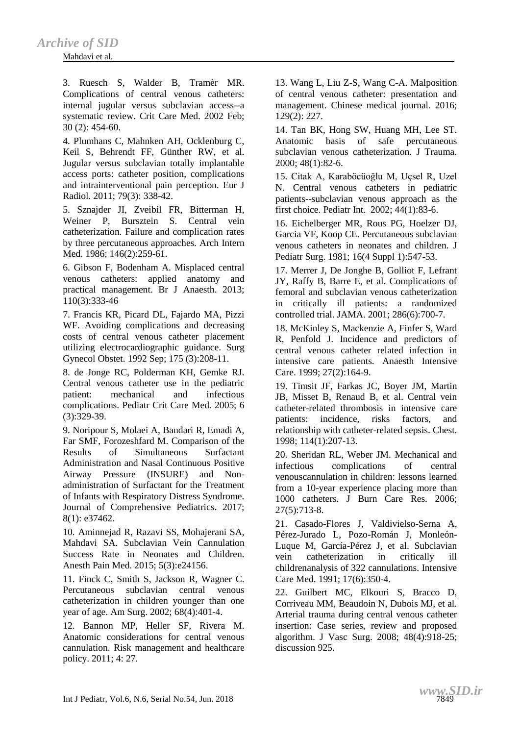#### Mahdavi et al.

3. Ruesch S, Walder B, Tramèr MR. Complications of central venous catheters: internal jugular versus subclavian access--a systematic review. Crit Care Med. 2002 Feb; 30 (2): 454-60.

4. Plumhans C, Mahnken AH, Ocklenburg C, Keil S, Behrendt FF, Günther RW, et al. Jugular versus subclavian totally implantable access ports: catheter position, complications and intrainterventional pain perception. Eur J Radiol. 2011; 79(3): 338-42.

5. Sznajder JI, Zveibil FR, Bitterman H, Weiner P, Bursztein S. Central vein catheterization. Failure and complication rates by three percutaneous approaches. Arch Intern Med. 1986; 146(2):259-61.

6. Gibson F, Bodenham A. Misplaced central venous catheters: applied anatomy and practical management. Br J Anaesth. 2013; 110(3):333-46

7. Francis KR, Picard DL, Fajardo MA, Pizzi WF. Avoiding complications and decreasing costs of central venous catheter placement utilizing electrocardiographic guidance. Surg Gynecol Obstet. 1992 Sep; 175 (3):208-11.

8. de Jonge RC, Polderman KH, Gemke RJ. Central venous catheter use in the pediatric patient: mechanical and infectious complications. Pediatr Crit Care Med. 2005; 6 (3):329-39.

9. Noripour S, Molaei A, Bandari R, Emadi A, Far SMF, Forozeshfard M. Comparison of the Results of Simultaneous Surfactant Administration and Nasal Continuous Positive Airway Pressure (INSURE) and Nonadministration of Surfactant for the Treatment of Infants with Respiratory Distress Syndrome. Journal of Comprehensive Pediatrics. 2017; 8(1): e37462.

10. Aminnejad R, Razavi SS, Mohajerani SA, Mahdavi SA. Subclavian Vein Cannulation Success Rate in Neonates and Children. Anesth Pain Med. 2015; 5(3):e24156.

11. Finck C, Smith S, Jackson R, Wagner C. Percutaneous subclavian central venous catheterization in children younger than one year of age. Am Surg. 2002; 68(4):401-4.

12. Bannon MP, Heller SF, Rivera M. Anatomic considerations for central venous cannulation. Risk management and healthcare policy. 2011; 4: 27.

13. Wang L, Liu Z-S, Wang C-A. Malposition of central venous catheter: presentation and management. Chinese medical journal. 2016; 129(2): 227.

14. Tan BK, Hong SW, Huang MH, Lee ST. Anatomic basis of safe percutaneous subclavian venous catheterization. J Trauma. 2000; 48(1):82-6.

15. Citak A, Karaböcüoğlu M, Uçsel R, Uzel N. Central venous catheters in pediatric patients--subclavian venous approach as the first choice. Pediatr Int. 2002; 44(1):83-6.

16. Eichelberger MR, Rous PG, Hoelzer DJ, Garcia VF, Koop CE. Percutaneous subclavian venous catheters in neonates and children. J Pediatr Surg. 1981; 16(4 Suppl 1):547-53.

17. Merrer J, De Jonghe B, Golliot F, Lefrant JY, Raffy B, Barre E, et al. Complications of femoral and subclavian venous catheterization in critically ill patients: a randomized controlled trial. JAMA. 2001; 286(6):700-7.

18. McKinley S, Mackenzie A, Finfer S, Ward R, Penfold J. Incidence and predictors of central venous catheter related infection in intensive care patients. Anaesth Intensive Care. 1999; 27(2):164-9.

19. Timsit JF, Farkas JC, Boyer JM, Martin JB, Misset B, Renaud B, et al. Central vein catheter-related thrombosis in intensive care patients: incidence, risks factors, and relationship with catheter-related sepsis. Chest. 1998; 114(1):207-13.

20. Sheridan RL, Weber JM. Mechanical and infectious complications of central venouscannulation in children: lessons learned from a 10-year experience placing more than 1000 catheters. J Burn Care Res. 2006; 27(5):713-8.

21. Casado-Flores J, Valdivielso-Serna A, Pérez-Jurado L, Pozo-Román J, Monleón-Luque M, García-Pérez J, et al. Subclavian vein catheterization in critically ill childrenanalysis of 322 cannulations. Intensive Care Med. 1991; 17(6):350-4.

22. Guilbert MC, Elkouri S, Bracco D, Corriveau MM, Beaudoin N, Dubois MJ, et al. Arterial trauma during central venous catheter insertion: Case series, review and proposed algorithm. J Vasc Surg. 2008; 48(4):918-25; discussion 925.